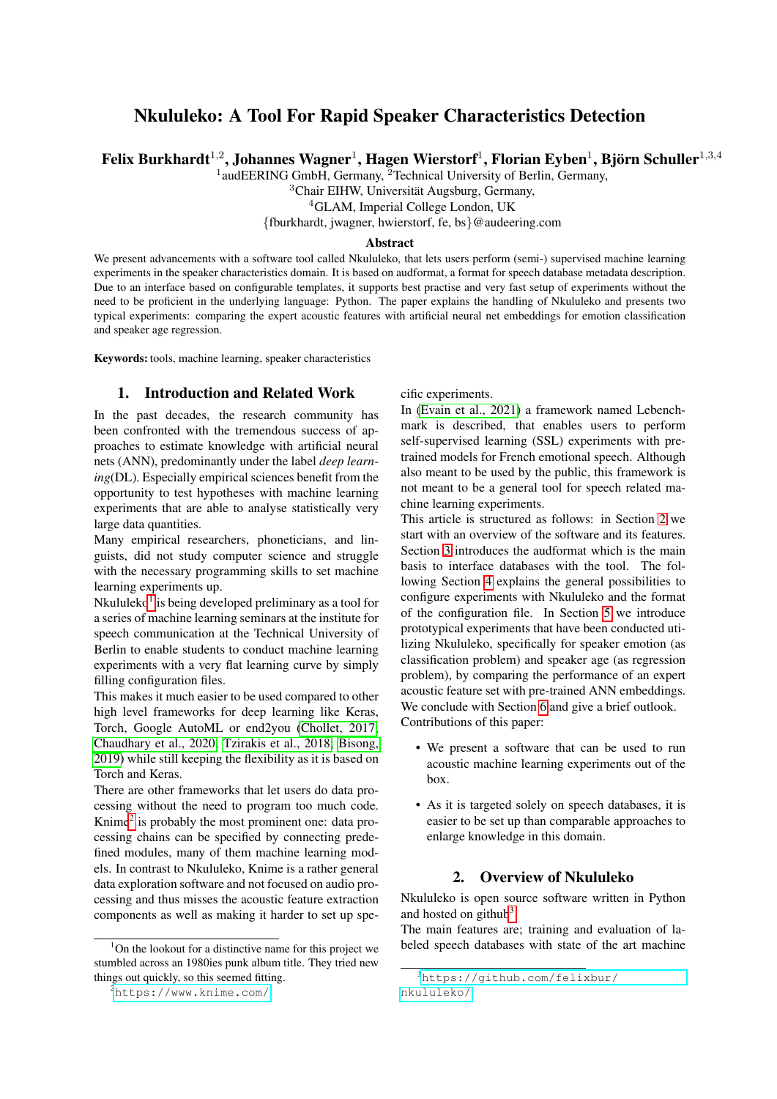# Nkululeko: A Tool For Rapid Speaker Characteristics Detection

Felix Burkhardt $^{1,2}$ , Johannes Wagner $^1$ , Hagen Wierstorf $^1$ , Florian Eyben $^1$ , Björn Schuller $^{1,3,4}$ 

<sup>1</sup>audEERING GmbH, Germany, <sup>2</sup>Technical University of Berlin, Germany,

<sup>3</sup>Chair EIHW, Universität Augsburg, Germany,

<sup>4</sup>GLAM, Imperial College London, UK

{fburkhardt, jwagner, hwierstorf, fe, bs}@audeering.com

#### **Abstract**

We present advancements with a software tool called Nkululeko, that lets users perform (semi-) supervised machine learning experiments in the speaker characteristics domain. It is based on audformat, a format for speech database metadata description. Due to an interface based on configurable templates, it supports best practise and very fast setup of experiments without the need to be proficient in the underlying language: Python. The paper explains the handling of Nkululeko and presents two typical experiments: comparing the expert acoustic features with artificial neural net embeddings for emotion classification and speaker age regression.

Keywords: tools, machine learning, speaker characteristics

#### 1. Introduction and Related Work

In the past decades, the research community has been confronted with the tremendous success of approaches to estimate knowledge with artificial neural nets (ANN), predominantly under the label *deep learning*(DL). Especially empirical sciences benefit from the opportunity to test hypotheses with machine learning experiments that are able to analyse statistically very large data quantities.

Many empirical researchers, phoneticians, and linguists, did not study computer science and struggle with the necessary programming skills to set machine learning experiments up.

Nkululeko<sup>[1](#page-0-0)</sup> is being developed preliminary as a tool for a series of machine learning seminars at the institute for speech communication at the Technical University of Berlin to enable students to conduct machine learning experiments with a very flat learning curve by simply filling configuration files.

This makes it much easier to be used compared to other high level frameworks for deep learning like Keras, Torch, Google AutoML or end2you [\(Chollet, 2017;](#page-6-0) [Chaudhary et al., 2020;](#page-6-1) [Tzirakis et al., 2018;](#page-7-0) [Bisong,](#page-6-2) [2019\)](#page-6-2) while still keeping the flexibility as it is based on Torch and Keras.

There are other frameworks that let users do data processing without the need to program too much code. Knime<sup>[2](#page-0-1)</sup> is probably the most prominent one: data processing chains can be specified by connecting predefined modules, many of them machine learning models. In contrast to Nkululeko, Knime is a rather general data exploration software and not focused on audio processing and thus misses the acoustic feature extraction components as well as making it harder to set up specific experiments.

In [\(Evain et al., 2021\)](#page-6-3) a framework named Lebenchmark is described, that enables users to perform self-supervised learning (SSL) experiments with pretrained models for French emotional speech. Although also meant to be used by the public, this framework is not meant to be a general tool for speech related machine learning experiments.

This article is structured as follows: in Section [2](#page-0-2) we start with an overview of the software and its features. Section [3](#page-1-0) introduces the audformat which is the main basis to interface databases with the tool. The following Section [4](#page-2-0) explains the general possibilities to configure experiments with Nkululeko and the format of the configuration file. In Section [5](#page-5-0) we introduce prototypical experiments that have been conducted utilizing Nkululeko, specifically for speaker emotion (as classification problem) and speaker age (as regression problem), by comparing the performance of an expert acoustic feature set with pre-trained ANN embeddings. We conclude with Section [6](#page-6-4) and give a brief outlook. Contributions of this paper:

- We present a software that can be used to run acoustic machine learning experiments out of the box.
- As it is targeted solely on speech databases, it is easier to be set up than comparable approaches to enlarge knowledge in this domain.

#### 2. Overview of Nkululeko

<span id="page-0-2"></span>Nkululeko is open source software written in Python and hosted on github<sup>[3](#page-0-3)</sup>.

The main features are; training and evaluation of labeled speech databases with state of the art machine

<span id="page-0-0"></span> $1$ On the lookout for a distinctive name for this project we stumbled across an 1980ies punk album title. They tried new things out quickly, so this seemed fitting.

<span id="page-0-1"></span><sup>2</sup><https://www.knime.com/>

<span id="page-0-3"></span><sup>3</sup>[https://github.com/felixbur/](https://github.com/felixbur/nkululeko/)

[nkululeko/](https://github.com/felixbur/nkululeko/)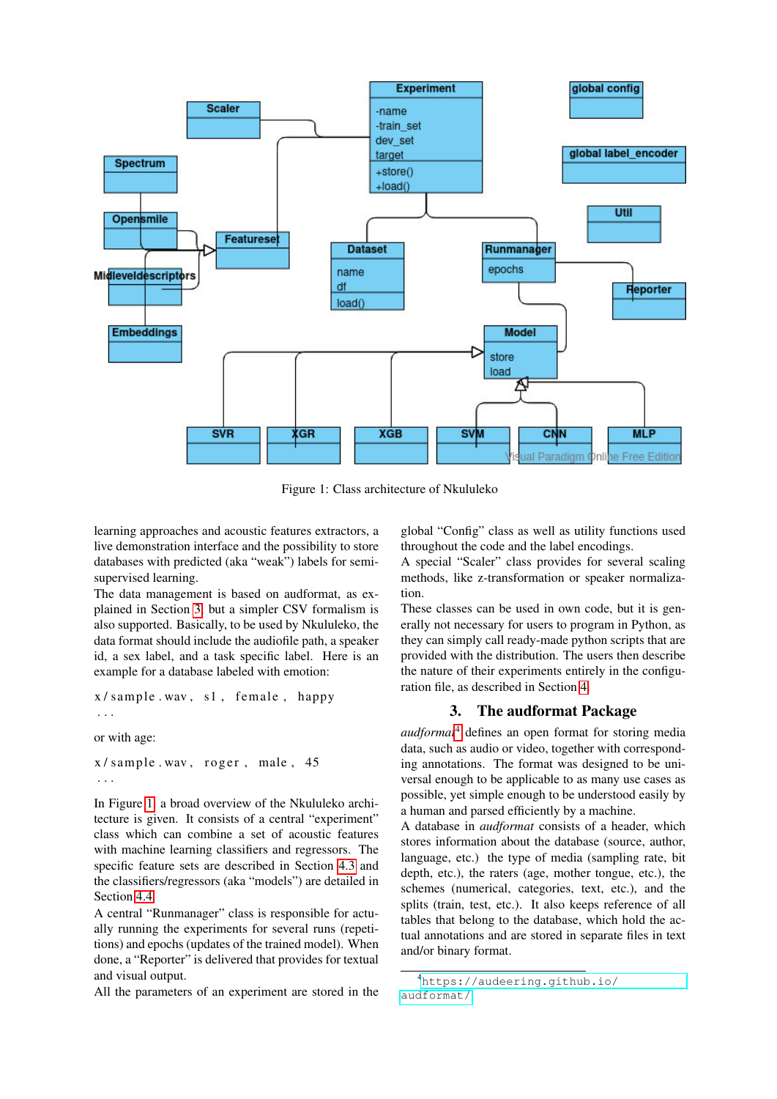

<span id="page-1-1"></span>Figure 1: Class architecture of Nkululeko

learning approaches and acoustic features extractors, a live demonstration interface and the possibility to store databases with predicted (aka "weak") labels for semisupervised learning.

The data management is based on audformat, as explained in Section [3,](#page-1-0) but a simpler CSV formalism is also supported. Basically, to be used by Nkululeko, the data format should include the audiofile path, a speaker id, a sex label, and a task specific label. Here is an example for a database labeled with emotion:

$$
x / sample . wav , s1 , female , happy
$$

. . .

or with age:

 $x / sample$ . wav, roger, male, 45 . . .

In Figure [1,](#page-1-1) a broad overview of the Nkululeko architecture is given. It consists of a central "experiment" class which can combine a set of acoustic features with machine learning classifiers and regressors. The specific feature sets are described in Section [4.3](#page-2-1) and the classifiers/regressors (aka "models") are detailed in Section [4.4.](#page-3-0)

A central "Runmanager" class is responsible for actually running the experiments for several runs (repetitions) and epochs (updates of the trained model). When done, a "Reporter" is delivered that provides for textual and visual output.

All the parameters of an experiment are stored in the

global "Config" class as well as utility functions used throughout the code and the label encodings.

A special "Scaler" class provides for several scaling methods, like z-transformation or speaker normalization.

These classes can be used in own code, but it is generally not necessary for users to program in Python, as they can simply call ready-made python scripts that are provided with the distribution. The users then describe the nature of their experiments entirely in the configuration file, as described in Section [4.](#page-2-0)

#### 3. The audformat Package

<span id="page-1-0"></span>*audformat*[4](#page-1-2) defines an open format for storing media data, such as audio or video, together with corresponding annotations. The format was designed to be universal enough to be applicable to as many use cases as possible, yet simple enough to be understood easily by a human and parsed efficiently by a machine.

A database in *audformat* consists of a header, which stores information about the database (source, author, language, etc.) the type of media (sampling rate, bit depth, etc.), the raters (age, mother tongue, etc.), the schemes (numerical, categories, text, etc.), and the splits (train, test, etc.). It also keeps reference of all tables that belong to the database, which hold the actual annotations and are stored in separate files in text and/or binary format.

<span id="page-1-2"></span><sup>4</sup>[https://audeering.github.io/](https://audeering.github.io/audformat/) [audformat/](https://audeering.github.io/audformat/)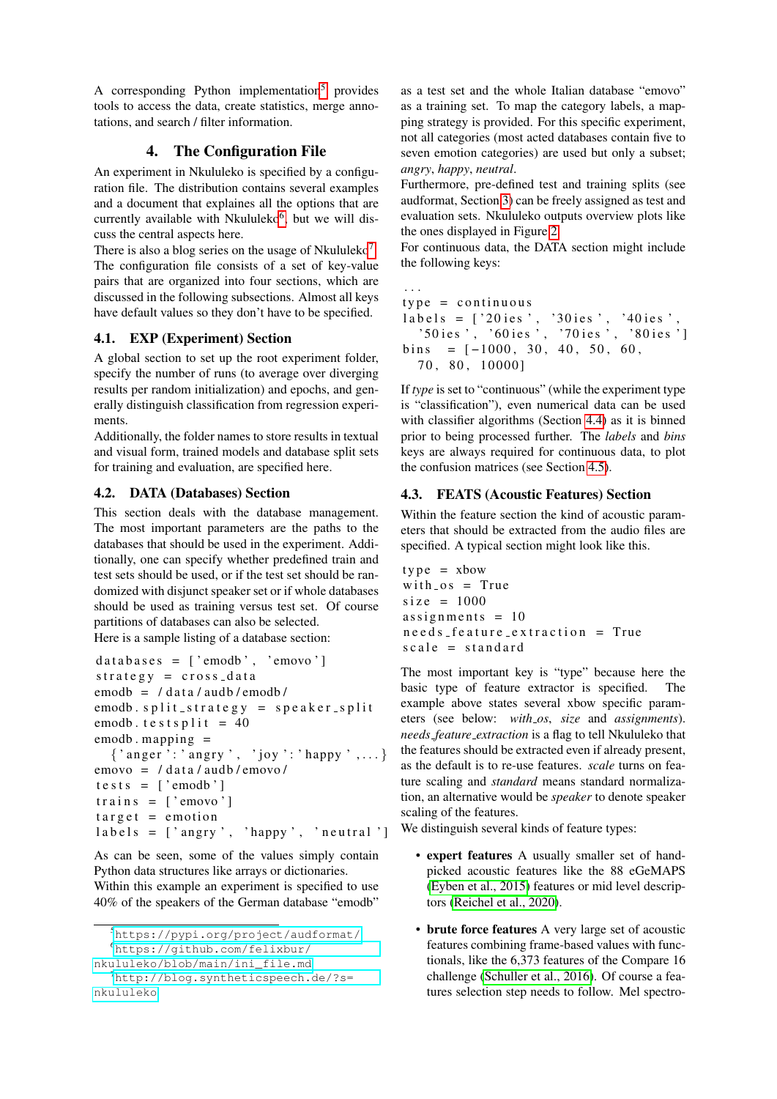A corresponding Python implementation<sup>[5](#page-2-2)</sup> provides tools to access the data, create statistics, merge annotations, and search / filter information.

### 4. The Configuration File

<span id="page-2-0"></span>An experiment in Nkululeko is specified by a configuration file. The distribution contains several examples and a document that explaines all the options that are currently available with Nkululeko<sup>[6](#page-2-3)</sup>, but we will discuss the central aspects here.

There is also a blog series on the usage of Nkululeko<sup>[7](#page-2-4)</sup>. The configuration file consists of a set of key-value pairs that are organized into four sections, which are discussed in the following subsections. Almost all keys have default values so they don't have to be specified.

### 4.1. EXP (Experiment) Section

A global section to set up the root experiment folder, specify the number of runs (to average over diverging results per random initialization) and epochs, and generally distinguish classification from regression experiments.

Additionally, the folder names to store results in textual and visual form, trained models and database split sets for training and evaluation, are specified here.

### <span id="page-2-5"></span>4.2. DATA (Databases) Section

This section deals with the database management. The most important parameters are the paths to the databases that should be used in the experiment. Additionally, one can specify whether predefined train and test sets should be used, or if the test set should be randomized with disjunct speaker set or if whole databases should be used as training versus test set. Of course partitions of databases can also be selected.

Here is a sample listing of a database section:

```
data bases = ['emodb', 'emovo']strategy = cross_dataemodb = / data / audb / emodb /emodb. split-stream = speaker.splitemodb. t e s t s p \text{lit} = 40
emodb. mapping =
   \{ 'anger': 'angingry', 'joy': 'happy', ... \}emovo = / data / audb / emovo /\text{te} \text{st} \text{s} = [\text{'emodb'}]trains = \lceil 'emovo' \rceiltarget = emotionlabels = ['angry', 'happy', 'neutral']
```
As can be seen, some of the values simply contain Python data structures like arrays or dictionaries. Within this example an experiment is specified to use 40% of the speakers of the German database "emodb"

as a test set and the whole Italian database "emovo" as a training set. To map the category labels, a mapping strategy is provided. For this specific experiment, not all categories (most acted databases contain five to seven emotion categories) are used but only a subset; *angry*, *happy*, *neutral*.

Furthermore, pre-defined test and training splits (see audformat, Section [3\)](#page-1-0) can be freely assigned as test and evaluation sets. Nkululeko outputs overview plots like the ones displayed in Figure [2.](#page-4-0)

For continuous data, the DATA section might include the following keys:

```
. . .
type = continuouslabels = ['20ies', '30ies', '40ies', ]'50 ies ', '60 ies ', '70 ies ', '80 ies ']
bins = [-1000, 30, 40, 50, 60,70 , 80 , 10000]
```
If *type* is set to "continuous" (while the experiment type is "classification"), even numerical data can be used with classifier algorithms (Section [4.4\)](#page-3-0) as it is binned prior to being processed further. The *labels* and *bins* keys are always required for continuous data, to plot the confusion matrices (see Section [4.5\)](#page-4-1).

## <span id="page-2-1"></span>4.3. FEATS (Acoustic Features) Section

Within the feature section the kind of acoustic parameters that should be extracted from the audio files are specified. A typical section might look like this.

```
type = xbowwith <math>cos = True</math>size = 1000assignments = 10\texttt{needs}-feature-extraction = True
scale = standard
```
The most important key is "type" because here the basic type of feature extractor is specified. The example above states several xbow specific parameters (see below: *with os*, *size* and *assignments*). *needs feature extraction* is a flag to tell Nkululeko that the features should be extracted even if already present, as the default is to re-use features. *scale* turns on feature scaling and *standard* means standard normalization, an alternative would be *speaker* to denote speaker scaling of the features.

We distinguish several kinds of feature types:

- expert features A usually smaller set of handpicked acoustic features like the 88 eGeMAPS [\(Eyben et al., 2015\)](#page-7-1) features or mid level descriptors [\(Reichel et al., 2020\)](#page-7-2).
- brute force features A very large set of acoustic features combining frame-based values with functionals, like the 6,373 features of the Compare 16 challenge [\(Schuller et al., 2016\)](#page-7-3). Of course a features selection step needs to follow. Mel spectro-

<span id="page-2-3"></span><span id="page-2-2"></span><sup>5</sup><https://pypi.org/project/audformat/> <sup>6</sup>[https://github.com/felixbur/](https://github.com/felixbur/nkululeko/blob/main/ini_file.md)

[nkululeko/blob/main/ini\\_file.md](https://github.com/felixbur/nkululeko/blob/main/ini_file.md)

<span id="page-2-4"></span><sup>7</sup>[http://blog.syntheticspeech.de/?s=](http://blog.syntheticspeech.de/?s=nkululeko) [nkululeko](http://blog.syntheticspeech.de/?s=nkululeko)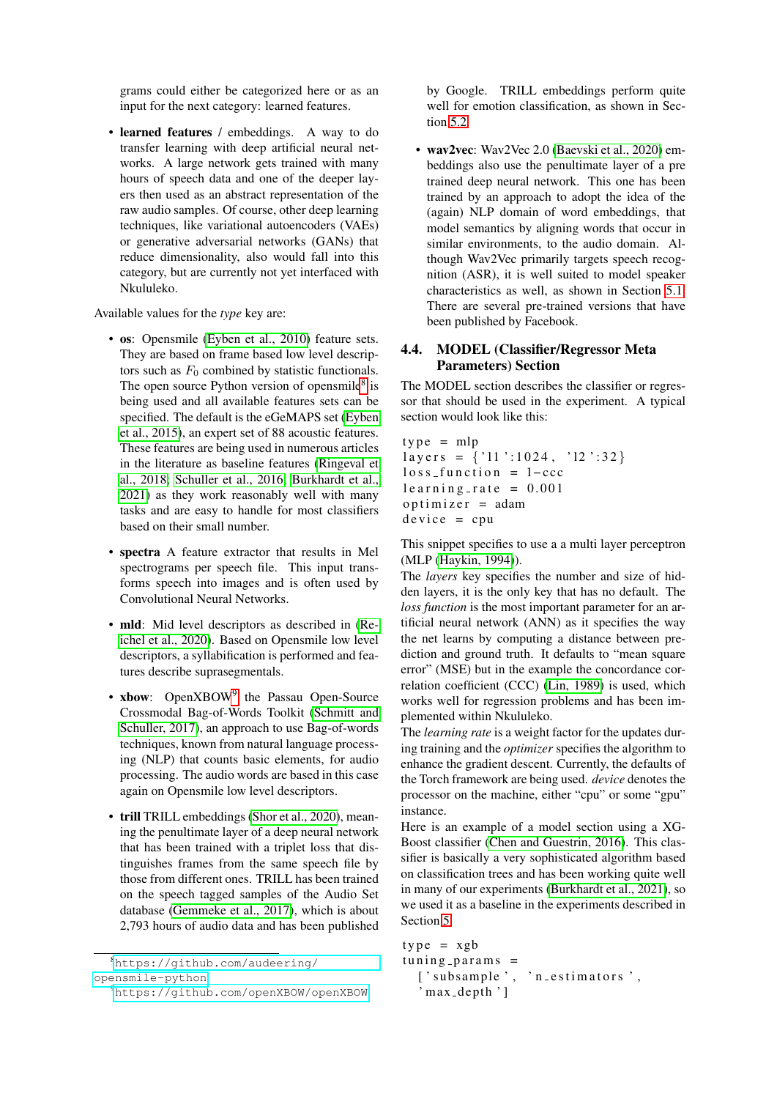grams could either be categorized here or as an input for the next category: learned features.

• learned features / embeddings. A way to do transfer learning with deep artificial neural networks. A large network gets trained with many hours of speech data and one of the deeper layers then used as an abstract representation of the raw audio samples. Of course, other deep learning techniques, like variational autoencoders (VAEs) or generative adversarial networks (GANs) that reduce dimensionality, also would fall into this category, but are currently not yet interfaced with Nkululeko.

Available values for the *type* key are:

- os: Opensmile [\(Eyben et al., 2010\)](#page-7-4) feature sets. They are based on frame based low level descriptors such as  $F_0$  combined by statistic functionals. The open source Python version of opensmile<sup>[8](#page-3-1)</sup> is being used and all available features sets can be specified. The default is the eGeMAPS set [\(Eyben](#page-7-1) [et al., 2015\)](#page-7-1), an expert set of 88 acoustic features. These features are being used in numerous articles in the literature as baseline features [\(Ringeval et](#page-7-5) [al., 2018;](#page-7-5) [Schuller et al., 2016;](#page-7-3) [Burkhardt et al.,](#page-6-5) [2021\)](#page-6-5) as they work reasonably well with many tasks and are easy to handle for most classifiers based on their small number.
- spectra A feature extractor that results in Mel spectrograms per speech file. This input transforms speech into images and is often used by Convolutional Neural Networks.
- mld: Mid level descriptors as described in [\(Re](#page-7-2)[ichel et al., 2020\)](#page-7-2). Based on Opensmile low level descriptors, a syllabification is performed and features describe suprasegmentals.
- xbow: OpenXBOW<sup>[9](#page-3-2)</sup> the Passau Open-Source Crossmodal Bag-of-Words Toolkit [\(Schmitt and](#page-7-6) [Schuller, 2017\)](#page-7-6), an approach to use Bag-of-words techniques, known from natural language processing (NLP) that counts basic elements, for audio processing. The audio words are based in this case again on Opensmile low level descriptors.
- trill TRILL embeddings [\(Shor et al., 2020\)](#page-7-7), meaning the penultimate layer of a deep neural network that has been trained with a triplet loss that distinguishes frames from the same speech file by those from different ones. TRILL has been trained on the speech tagged samples of the Audio Set database [\(Gemmeke et al., 2017\)](#page-7-8), which is about 2,793 hours of audio data and has been published

by Google. TRILL embeddings perform quite well for emotion classification, as shown in Section [5.2.](#page-6-6)

• wav2vec: Wav2Vec 2.0 [\(Baevski et al., 2020\)](#page-6-7) embeddings also use the penultimate layer of a pre trained deep neural network. This one has been trained by an approach to adopt the idea of the (again) NLP domain of word embeddings, that model semantics by aligning words that occur in similar environments, to the audio domain. Although Wav2Vec primarily targets speech recognition (ASR), it is well suited to model speaker characteristics as well, as shown in Section [5.1.](#page-5-1) There are several pre-trained versions that have been published by Facebook.

#### <span id="page-3-0"></span>4.4. MODEL (Classifier/Regressor Meta Parameters) Section

The MODEL section describes the classifier or regressor that should be used in the experiment. A typical section would look like this:

```
type = mlplayers = \{ '11' : 1024, '12' : 32 \}loss_function = 1-ccc
learing_rate = 0.001optimizer = adamdevice = cpu
```
This snippet specifies to use a a multi layer perceptron (MLP [\(Haykin, 1994\)](#page-7-9)).

The *layers* key specifies the number and size of hidden layers, it is the only key that has no default. The *loss function* is the most important parameter for an artificial neural network (ANN) as it specifies the way the net learns by computing a distance between prediction and ground truth. It defaults to "mean square error" (MSE) but in the example the concordance correlation coefficient (CCC) [\(Lin, 1989\)](#page-7-10) is used, which works well for regression problems and has been implemented within Nkululeko.

The *learning rate* is a weight factor for the updates during training and the *optimizer* specifies the algorithm to enhance the gradient descent. Currently, the defaults of the Torch framework are being used. *device* denotes the processor on the machine, either "cpu" or some "gpu" instance.

Here is an example of a model section using a XG-Boost classifier [\(Chen and Guestrin, 2016\)](#page-6-8). This classifier is basically a very sophisticated algorithm based on classification trees and has been working quite well in many of our experiments [\(Burkhardt et al., 2021\)](#page-6-5), so we used it as a baseline in the experiments described in Section [5.](#page-5-0)

```
type = xgbtuning_params =[' subsample ', ' n_estimators ',
  ' max_depth ' ]
```
<span id="page-3-1"></span><sup>8</sup>[https://github.com/audeering/](https://github.com/audeering/opensmile-python) [opensmile-python](https://github.com/audeering/opensmile-python)

<span id="page-3-2"></span><sup>9</sup><https://github.com/openXBOW/openXBOW>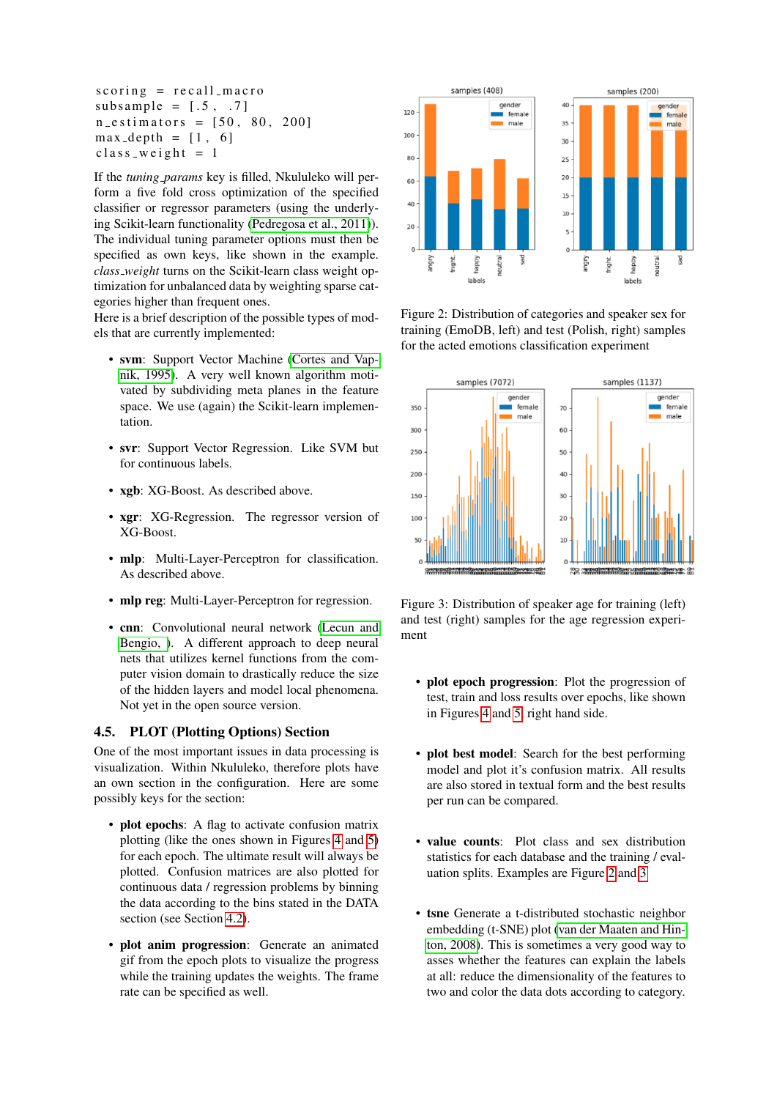$scoring = recall_macc$ subsample =  $[.5, .7]$  $n_e$  e stimators =  $[50, 80, 200]$  $max_{\text{depth}} = [1, 6]$  $class = weight = 1$ 

If the *tuning params* key is filled, Nkululeko will perform a five fold cross optimization of the specified classifier or regressor parameters (using the underlying Scikit-learn functionality [\(Pedregosa et al., 2011\)](#page-7-11)). The individual tuning parameter options must then be specified as own keys, like shown in the example. *class weight* turns on the Scikit-learn class weight optimization for unbalanced data by weighting sparse categories higher than frequent ones.

Here is a brief description of the possible types of models that are currently implemented:

- svm: Support Vector Machine [\(Cortes and Vap](#page-6-9)[nik, 1995\)](#page-6-9). A very well known algorithm motivated by subdividing meta planes in the feature space. We use (again) the Scikit-learn implementation.
- svr: Support Vector Regression. Like SVM but for continuous labels.
- xgb: XG-Boost. As described above.
- xgr: XG-Regression. The regressor version of XG-Boost.
- mlp: Multi-Layer-Perceptron for classification. As described above.
- mlp reg: Multi-Layer-Perceptron for regression.
- cnn: Convolutional neural network [\(Lecun and](#page-7-12) [Bengio, \)](#page-7-12). A different approach to deep neural nets that utilizes kernel functions from the computer vision domain to drastically reduce the size of the hidden layers and model local phenomena. Not yet in the open source version.

#### <span id="page-4-1"></span>4.5. PLOT (Plotting Options) Section

One of the most important issues in data processing is visualization. Within Nkululeko, therefore plots have an own section in the configuration. Here are some possibly keys for the section:

- plot epochs: A flag to activate confusion matrix plotting (like the ones shown in Figures [4](#page-5-2) and [5\)](#page-5-3) for each epoch. The ultimate result will always be plotted. Confusion matrices are also plotted for continuous data / regression problems by binning the data according to the bins stated in the DATA section (see Section [4.2\)](#page-2-5).
- plot anim progression: Generate an animated gif from the epoch plots to visualize the progress while the training updates the weights. The frame rate can be specified as well.



<span id="page-4-0"></span>Figure 2: Distribution of categories and speaker sex for training (EmoDB, left) and test (Polish, right) samples for the acted emotions classification experiment



<span id="page-4-2"></span>Figure 3: Distribution of speaker age for training (left) and test (right) samples for the age regression experiment

- plot epoch progression: Plot the progression of test, train and loss results over epochs, like shown in Figures [4](#page-5-2) and [5,](#page-5-3) right hand side.
- plot best model: Search for the best performing model and plot it's confusion matrix. All results are also stored in textual form and the best results per run can be compared.
- value counts: Plot class and sex distribution statistics for each database and the training / evaluation splits. Examples are Figure [2](#page-4-0) and [3](#page-4-2)
- tsne Generate a t-distributed stochastic neighbor embedding (t-SNE) plot [\(van der Maaten and Hin](#page-7-13)[ton, 2008\)](#page-7-13). This is sometimes a very good way to asses whether the features can explain the labels at all: reduce the dimensionality of the features to two and color the data dots according to category.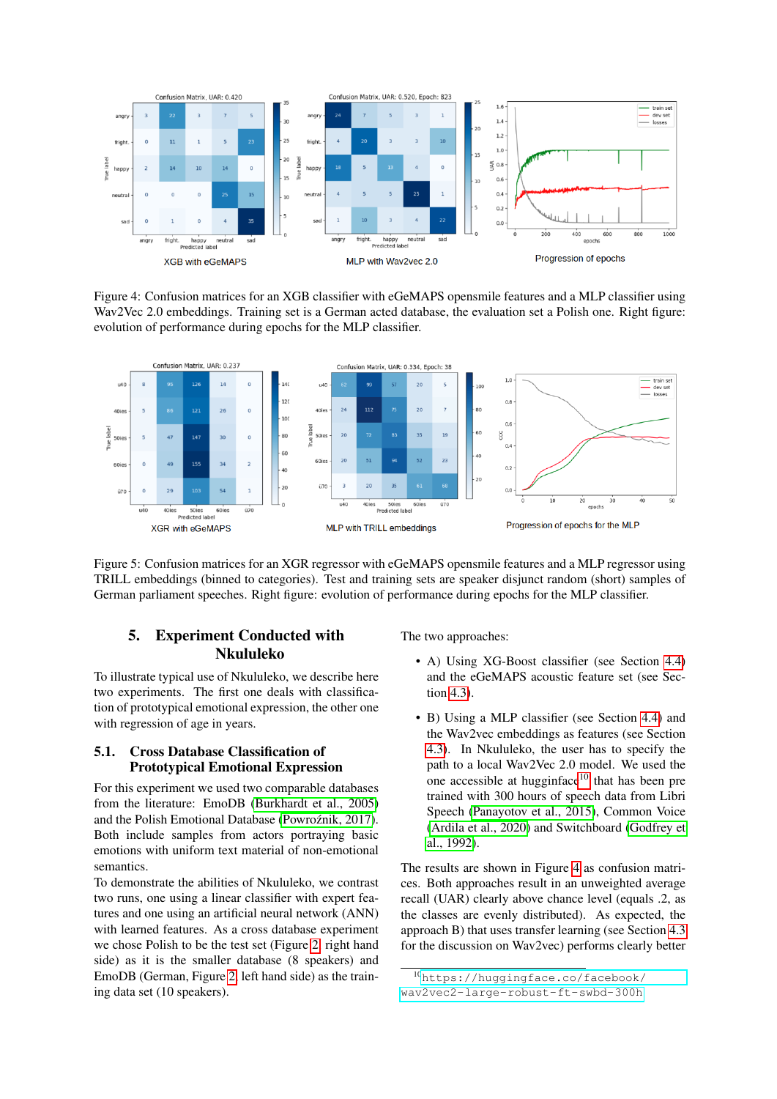

<span id="page-5-2"></span>Figure 4: Confusion matrices for an XGB classifier with eGeMAPS opensmile features and a MLP classifier using Wav2Vec 2.0 embeddings. Training set is a German acted database, the evaluation set a Polish one. Right figure: evolution of performance during epochs for the MLP classifier.



<span id="page-5-3"></span>Figure 5: Confusion matrices for an XGR regressor with eGeMAPS opensmile features and a MLP regressor using TRILL embeddings (binned to categories). Test and training sets are speaker disjunct random (short) samples of German parliament speeches. Right figure: evolution of performance during epochs for the MLP classifier.

## <span id="page-5-0"></span>5. Experiment Conducted with Nkululeko

To illustrate typical use of Nkululeko, we describe here two experiments. The first one deals with classification of prototypical emotional expression, the other one with regression of age in years.

#### <span id="page-5-1"></span>5.1. Cross Database Classification of Prototypical Emotional Expression

For this experiment we used two comparable databases from the literature: EmoDB [\(Burkhardt et al., 2005\)](#page-6-10) and the Polish Emotional Database (Powroźnik, 2017). Both include samples from actors portraying basic emotions with uniform text material of non-emotional semantics.

To demonstrate the abilities of Nkululeko, we contrast two runs, one using a linear classifier with expert features and one using an artificial neural network (ANN) with learned features. As a cross database experiment we chose Polish to be the test set (Figure [2,](#page-4-0) right hand side) as it is the smaller database (8 speakers) and EmoDB (German, Figure [2,](#page-4-0) left hand side) as the training data set (10 speakers).

The two approaches:

- A) Using XG-Boost classifier (see Section [4.4\)](#page-3-0) and the eGeMAPS acoustic feature set (see Section [4.3\)](#page-2-1).
- B) Using a MLP classifier (see Section [4.4\)](#page-3-0) and the Wav2vec embeddings as features (see Section [4.3\)](#page-2-1). In Nkululeko, the user has to specify the path to a local Wav2Vec 2.0 model. We used the one accessible at hugginface<sup>[10](#page-5-4)</sup> that has been pre trained with 300 hours of speech data from Libri Speech [\(Panayotov et al., 2015\)](#page-7-15), Common Voice [\(Ardila et al., 2020\)](#page-6-11) and Switchboard [\(Godfrey et](#page-7-16) [al., 1992\)](#page-7-16).

The results are shown in Figure [4](#page-5-2) as confusion matrices. Both approaches result in an unweighted average recall (UAR) clearly above chance level (equals .2, as the classes are evenly distributed). As expected, the approach B) that uses transfer learning (see Section [4.3](#page-2-1) for the discussion on Wav2vec) performs clearly better

<span id="page-5-4"></span><sup>10</sup>[https://huggingface.co/facebook/](https://huggingface.co/facebook/wav2vec2-large-robust-ft-swbd-300h) [wav2vec2-large-robust-ft-swbd-300h](https://huggingface.co/facebook/wav2vec2-large-robust-ft-swbd-300h)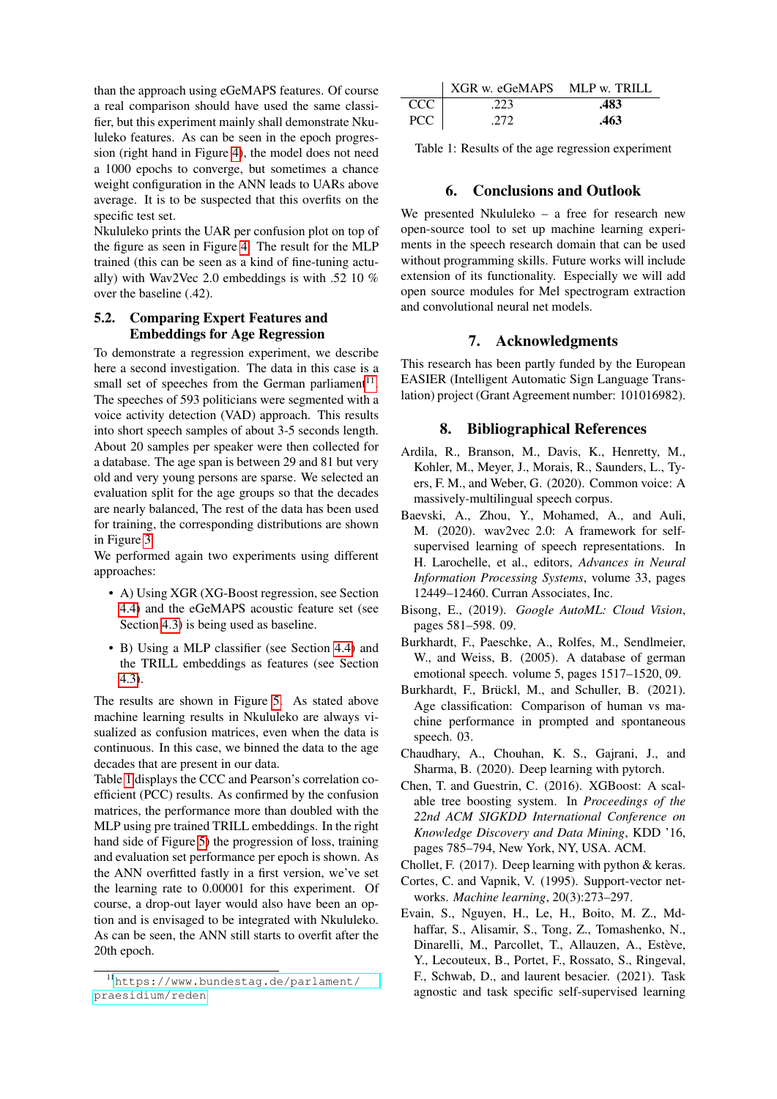than the approach using eGeMAPS features. Of course a real comparison should have used the same classifier, but this experiment mainly shall demonstrate Nkululeko features. As can be seen in the epoch progression (right hand in Figure [4\)](#page-5-2), the model does not need a 1000 epochs to converge, but sometimes a chance weight configuration in the ANN leads to UARs above average. It is to be suspected that this overfits on the specific test set.

Nkululeko prints the UAR per confusion plot on top of the figure as seen in Figure [4.](#page-5-2) The result for the MLP trained (this can be seen as a kind of fine-tuning actually) with Wav2Vec 2.0 embeddings is with .52 10 % over the baseline (.42).

#### <span id="page-6-6"></span>5.2. Comparing Expert Features and Embeddings for Age Regression

To demonstrate a regression experiment, we describe here a second investigation. The data in this case is a small set of speeches from the German parliament $11$ . The speeches of 593 politicians were segmented with a voice activity detection (VAD) approach. This results into short speech samples of about 3-5 seconds length. About 20 samples per speaker were then collected for a database. The age span is between 29 and 81 but very old and very young persons are sparse. We selected an evaluation split for the age groups so that the decades are nearly balanced, The rest of the data has been used for training, the corresponding distributions are shown in Figure [3.](#page-4-2)

We performed again two experiments using different approaches:

- A) Using XGR (XG-Boost regression, see Section [4.4\)](#page-3-0) and the eGeMAPS acoustic feature set (see Section [4.3\)](#page-2-1) is being used as baseline.
- B) Using a MLP classifier (see Section [4.4\)](#page-3-0) and the TRILL embeddings as features (see Section [4.3\)](#page-2-1).

The results are shown in Figure [5.](#page-5-3) As stated above machine learning results in Nkululeko are always visualized as confusion matrices, even when the data is continuous. In this case, we binned the data to the age decades that are present in our data.

Table [1](#page-6-13) displays the CCC and Pearson's correlation coefficient (PCC) results. As confirmed by the confusion matrices, the performance more than doubled with the MLP using pre trained TRILL embeddings. In the right hand side of Figure [5\)](#page-5-3) the progression of loss, training and evaluation set performance per epoch is shown. As the ANN overfitted fastly in a first version, we've set the learning rate to 0.00001 for this experiment. Of course, a drop-out layer would also have been an option and is envisaged to be integrated with Nkululeko. As can be seen, the ANN still starts to overfit after the 20th epoch.

|                  | XGR w. eGeMAPS MLP w. TRILL |      |
|------------------|-----------------------------|------|
| CCC <sub>1</sub> | .223                        | .483 |
| <b>PCC</b>       | .272                        | .463 |

<span id="page-6-13"></span>Table 1: Results of the age regression experiment

### 6. Conclusions and Outlook

<span id="page-6-4"></span>We presented Nkululeko – a free for research new open-source tool to set up machine learning experiments in the speech research domain that can be used without programming skills. Future works will include extension of its functionality. Especially we will add open source modules for Mel spectrogram extraction and convolutional neural net models.

### 7. Acknowledgments

This research has been partly funded by the European EASIER (Intelligent Automatic Sign Language Translation) project (Grant Agreement number: 101016982).

### 8. Bibliographical References

- <span id="page-6-11"></span>Ardila, R., Branson, M., Davis, K., Henretty, M., Kohler, M., Meyer, J., Morais, R., Saunders, L., Tyers, F. M., and Weber, G. (2020). Common voice: A massively-multilingual speech corpus.
- <span id="page-6-7"></span>Baevski, A., Zhou, Y., Mohamed, A., and Auli, M. (2020). wav2vec 2.0: A framework for selfsupervised learning of speech representations. In H. Larochelle, et al., editors, *Advances in Neural Information Processing Systems*, volume 33, pages 12449–12460. Curran Associates, Inc.
- <span id="page-6-2"></span>Bisong, E., (2019). *Google AutoML: Cloud Vision*, pages 581–598. 09.
- <span id="page-6-10"></span>Burkhardt, F., Paeschke, A., Rolfes, M., Sendlmeier, W., and Weiss, B. (2005). A database of german emotional speech. volume 5, pages 1517–1520, 09.
- <span id="page-6-5"></span>Burkhardt, F., Brückl, M., and Schuller, B. (2021). Age classification: Comparison of human vs machine performance in prompted and spontaneous speech. 03.
- <span id="page-6-1"></span>Chaudhary, A., Chouhan, K. S., Gajrani, J., and Sharma, B. (2020). Deep learning with pytorch.
- <span id="page-6-8"></span>Chen, T. and Guestrin, C. (2016). XGBoost: A scalable tree boosting system. In *Proceedings of the 22nd ACM SIGKDD International Conference on Knowledge Discovery and Data Mining*, KDD '16, pages 785–794, New York, NY, USA. ACM.
- <span id="page-6-0"></span>Chollet, F. (2017). Deep learning with python & keras.
- <span id="page-6-9"></span>Cortes, C. and Vapnik, V. (1995). Support-vector networks. *Machine learning*, 20(3):273–297.
- <span id="page-6-3"></span>Evain, S., Nguyen, H., Le, H., Boito, M. Z., Mdhaffar, S., Alisamir, S., Tong, Z., Tomashenko, N., Dinarelli, M., Parcollet, T., Allauzen, A., Estève, Y., Lecouteux, B., Portet, F., Rossato, S., Ringeval, F., Schwab, D., and laurent besacier. (2021). Task agnostic and task specific self-supervised learning

<span id="page-6-12"></span><sup>11</sup>[https://www.bundestag.de/parlament/](https://www.bundestag.de/parlament/praesidium/reden) [praesidium/reden](https://www.bundestag.de/parlament/praesidium/reden)